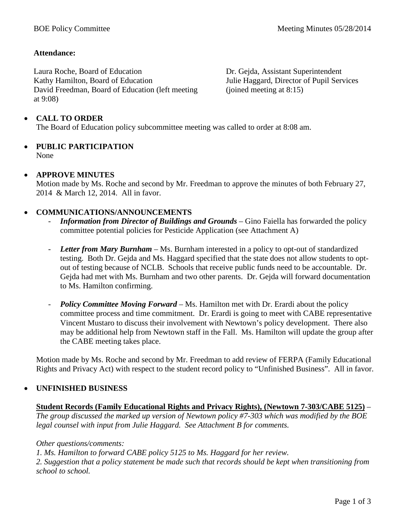# **Attendance:**

Laura Roche, Board of Education Kathy Hamilton, Board of Education David Freedman, Board of Education (left meeting at 9:08)

Dr. Gejda, Assistant Superintendent Julie Haggard, Director of Pupil Services (joined meeting at 8:15)

# • **CALL TO ORDER**

The Board of Education policy subcommittee meeting was called to order at 8:08 am.

# • **PUBLIC PARTICIPATION** None

# • **APPROVE MINUTES**

Motion made by Ms. Roche and second by Mr. Freedman to approve the minutes of both February 27, 2014 & March 12, 2014. All in favor.

# • **COMMUNICATIONS/ANNOUNCEMENTS**

- Information from Director of Buildings and Grounds Gino Faiella has forwarded the policy committee potential policies for Pesticide Application (see Attachment A)
- *Letter from Mary Burnham* Ms. Burnham interested in a policy to opt-out of standardized testing. Both Dr. Gejda and Ms. Haggard specified that the state does not allow students to optout of testing because of NCLB. Schools that receive public funds need to be accountable. Dr. Gejda had met with Ms. Burnham and two other parents. Dr. Gejda will forward documentation to Ms. Hamilton confirming.
- *Policy Committee Moving Forward*  Ms. Hamilton met with Dr. Erardi about the policy committee process and time commitment. Dr. Erardi is going to meet with CABE representative Vincent Mustaro to discuss their involvement with Newtown's policy development. There also may be additional help from Newtown staff in the Fall. Ms. Hamilton will update the group after the CABE meeting takes place.

Motion made by Ms. Roche and second by Mr. Freedman to add review of FERPA (Family Educational Rights and Privacy Act) with respect to the student record policy to "Unfinished Business". All in favor.

# • **UNFINISHED BUSINESS**

# **Student Records (Family Educational Rights and Privacy Rights), (Newtown 7-303/CABE 5125)** *–*

*The group discussed the marked up version of Newtown policy #7-303 which was modified by the BOE legal counsel with input from Julie Haggard. See Attachment B for comments.*

# *Other questions/comments:*

*1. Ms. Hamilton to forward CABE policy 5125 to Ms. Haggard for her review.*

*2. Suggestion that a policy statement be made such that records should be kept when transitioning from school to school.*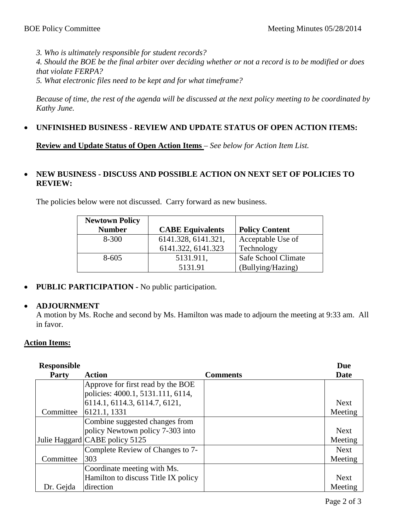*3. Who is ultimately responsible for student records?*

*4. Should the BOE be the final arbiter over deciding whether or not a record is to be modified or does that violate FERPA?*

*5. What electronic files need to be kept and for what timeframe?*

*Because of time, the rest of the agenda will be discussed at the next policy meeting to be coordinated by Kathy June.*

# • **UNFINISHED BUSINESS - REVIEW AND UPDATE STATUS OF OPEN ACTION ITEMS:**

**Review and Update Status of Open Action Items** *– See below for Action Item List.*

# • **NEW BUSINESS - DISCUSS AND POSSIBLE ACTION ON NEXT SET OF POLICIES TO REVIEW:**

The policies below were not discussed. Carry forward as new business.

| <b>Newtown Policy</b> |                         |                       |
|-----------------------|-------------------------|-----------------------|
| <b>Number</b>         | <b>CABE Equivalents</b> | <b>Policy Content</b> |
| $8 - 300$             | 6141.328, 6141.321,     | Acceptable Use of     |
|                       | 6141.322, 6141.323      | Technology            |
| $8 - 605$             | 5131.911,               | Safe School Climate   |
|                       | 5131.91                 | (Bullying/Hazing)     |

• **PUBLIC PARTICIPATION -** No public participation.

# • **ADJOURNMENT**

A motion by Ms. Roche and second by Ms. Hamilton was made to adjourn the meeting at 9:33 am. All in favor.

# **Action Items:**

| <b>Responsible</b> |                                     |                 | <b>Due</b>  |
|--------------------|-------------------------------------|-----------------|-------------|
| <b>Party</b>       | Action                              | <b>Comments</b> | Date        |
|                    | Approve for first read by the BOE   |                 |             |
|                    | policies: 4000.1, 5131.111, 6114,   |                 |             |
|                    | 6114.1, 6114.3, 6114.7, 6121,       |                 | <b>Next</b> |
| Committee          | 6121.1, 1331                        |                 | Meeting     |
|                    | Combine suggested changes from      |                 |             |
|                    | policy Newtown policy 7-303 into    |                 | <b>Next</b> |
|                    | Julie Haggard CABE policy 5125      |                 | Meeting     |
|                    | Complete Review of Changes to 7-    |                 | <b>Next</b> |
| Committee          | 303                                 |                 | Meeting     |
|                    | Coordinate meeting with Ms.         |                 |             |
|                    | Hamilton to discuss Title IX policy |                 | <b>Next</b> |
| Dr. Gejda          | direction                           |                 | Meeting     |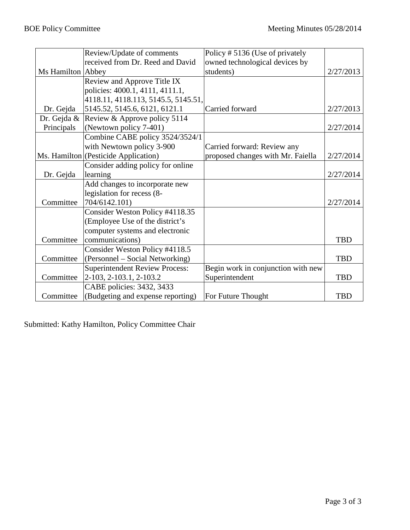|                   | Review/Update of comments             | Policy #5136 (Use of privately     |            |
|-------------------|---------------------------------------|------------------------------------|------------|
|                   | received from Dr. Reed and David      | owned technological devices by     |            |
| Ms Hamilton Abbey |                                       | students)                          | 2/27/2013  |
|                   | Review and Approve Title IX           |                                    |            |
|                   | policies: 4000.1, 4111, 4111.1,       |                                    |            |
|                   | 4118.11, 4118.113, 5145.5, 5145.51,   |                                    |            |
| Dr. Gejda         | 5145.52, 5145.6, 6121, 6121.1         | Carried forward                    | 2/27/2013  |
| Dr. Gejda &       | Review & Approve policy 5114          |                                    |            |
| Principals        | (Newtown policy 7-401)                |                                    | 2/27/2014  |
|                   | Combine CABE policy 3524/3524/1       |                                    |            |
|                   | with Newtown policy 3-900             | Carried forward: Review any        |            |
|                   | Ms. Hamilton (Pesticide Application)  | proposed changes with Mr. Faiella  | 2/27/2014  |
|                   | Consider adding policy for online     |                                    |            |
| Dr. Gejda         | learning                              |                                    | 2/27/2014  |
|                   | Add changes to incorporate new        |                                    |            |
|                   | legislation for recess (8-            |                                    |            |
| Committee         | 704/6142.101)                         |                                    | 2/27/2014  |
|                   | Consider Weston Policy #4118.35       |                                    |            |
|                   | (Employee Use of the district's       |                                    |            |
|                   | computer systems and electronic       |                                    |            |
| Committee         | communications)                       |                                    | <b>TBD</b> |
|                   | Consider Weston Policy #4118.5        |                                    |            |
| Committee         | (Personnel - Social Networking)       |                                    | <b>TBD</b> |
|                   | <b>Superintendent Review Process:</b> | Begin work in conjunction with new |            |
| Committee         | 2-103, 2-103.1, 2-103.2               | Superintendent                     | <b>TBD</b> |
|                   | CABE policies: 3432, 3433             |                                    |            |
| Committee         | (Budgeting and expense reporting)     | For Future Thought                 | <b>TBD</b> |

Submitted: Kathy Hamilton, Policy Committee Chair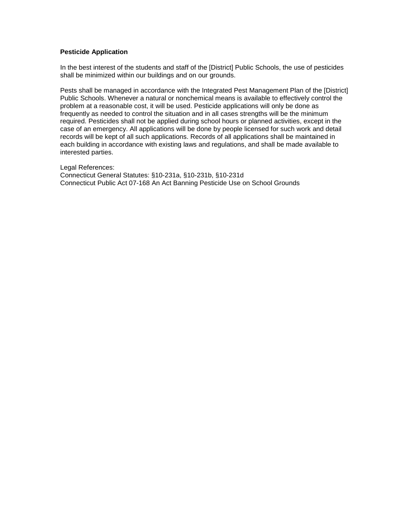# **Pesticide Application**

In the best interest of the students and staff of the [District] Public Schools, the use of pesticides shall be minimized within our buildings and on our grounds.

Pests shall be managed in accordance with the Integrated Pest Management Plan of the [District] Public Schools. Whenever a natural or nonchemical means is available to effectively control the problem at a reasonable cost, it will be used. Pesticide applications will only be done as frequently as needed to control the situation and in all cases strengths will be the minimum required. Pesticides shall not be applied during school hours or planned activities, except in the case of an emergency. All applications will be done by people licensed for such work and detail records will be kept of all such applications. Records of all applications shall be maintained in each building in accordance with existing laws and regulations, and shall be made available to interested parties.

Legal References: Connecticut General Statutes: §10-231a, §10-231b, §10-231d Connecticut Public Act 07-168 An Act Banning Pesticide Use on School Grounds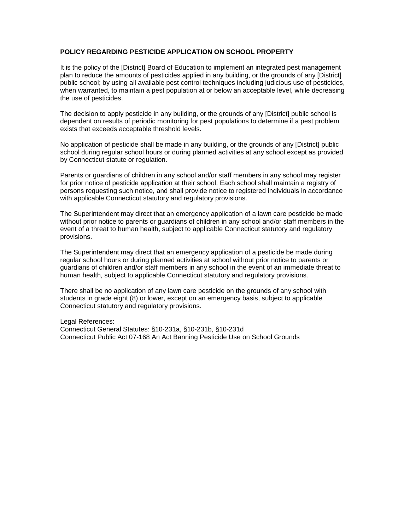# **POLICY REGARDING PESTICIDE APPLICATION ON SCHOOL PROPERTY**

It is the policy of the [District] Board of Education to implement an integrated pest management plan to reduce the amounts of pesticides applied in any building, or the grounds of any [District] public school; by using all available pest control techniques including judicious use of pesticides, when warranted, to maintain a pest population at or below an acceptable level, while decreasing the use of pesticides.

The decision to apply pesticide in any building, or the grounds of any [District] public school is dependent on results of periodic monitoring for pest populations to determine if a pest problem exists that exceeds acceptable threshold levels.

No application of pesticide shall be made in any building, or the grounds of any [District] public school during regular school hours or during planned activities at any school except as provided by Connecticut statute or regulation.

Parents or guardians of children in any school and/or staff members in any school may register for prior notice of pesticide application at their school. Each school shall maintain a registry of persons requesting such notice, and shall provide notice to registered individuals in accordance with applicable Connecticut statutory and regulatory provisions.

The Superintendent may direct that an emergency application of a lawn care pesticide be made without prior notice to parents or guardians of children in any school and/or staff members in the event of a threat to human health, subject to applicable Connecticut statutory and regulatory provisions.

The Superintendent may direct that an emergency application of a pesticide be made during regular school hours or during planned activities at school without prior notice to parents or guardians of children and/or staff members in any school in the event of an immediate threat to human health, subject to applicable Connecticut statutory and regulatory provisions.

There shall be no application of any lawn care pesticide on the grounds of any school with students in grade eight (8) or lower, except on an emergency basis, subject to applicable Connecticut statutory and regulatory provisions.

Legal References: Connecticut General Statutes: §10-231a, §10-231b, §10-231d Connecticut Public Act 07-168 An Act Banning Pesticide Use on School Grounds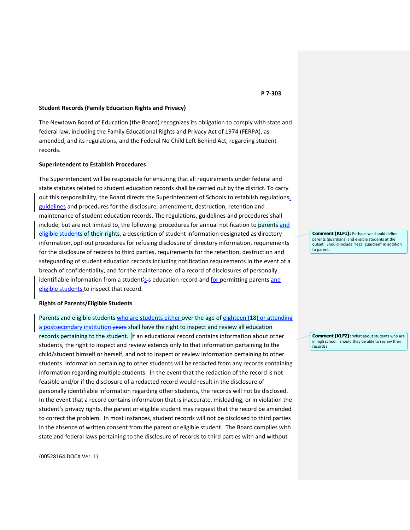### **Student Records (Family Education Rights and Privacy)**

The Newtown Board of Education (the Board) recognizes its obligation to comply with state and federal law, including the Family Educational Rights and Privacy Act of 1974 (FERPA), as amended, and its regulations, and the Federal No Child Left Behind Act, regarding student records.

## **Superintendent to Establish Procedures**

The Superintendent will be responsible for ensuring that all requirements under federal and state statutes related to student education records shall be carried out by the district. To carry out this responsibility, the Board directs the Superintendent of Schools to establish regulations, guidelines and procedures for the disclosure, amendment, destruction, retention and maintenance of student education records. The regulations, guidelines and procedures shall include, but are not limited to, the following: procedures for annual notification to parents and eligible students of their rights, a description of student information designated as directory information, opt-out procedures for refusing disclosure of directory information, requirements for the disclosure of records to third parties, requirements for the retention, destruction and safeguarding of student education records including notification requirements in the event of a breach of confidentiality, and for the maintenance of a record of disclosures of personally identifiable information from a student's s education record and for permitting parents and eligible students to inspect that record.

## **Rights of Parents/Eligible Students**

Parents and eligible students who are students either over the age of eighteen (18) or attending a postsecondary institution years shall have the right to inspect and review all education records pertaining to the student. If an educational record contains information about other students, the right to inspect and review extends only to that information pertaining to the child/student himself or herself, and not to inspect or review information pertaining to other students. Information pertaining to other students will be redacted from any records containing information regarding multiple students. In the event that the redaction of the record is not feasible and/or if the disclosure of a redacted record would result in the disclosure of personally identifiable information regarding other students, the records will not be disclosed. In the event that a record contains information that is inaccurate, misleading, or in violation the student's privacy rights, the parent or eligible student may request that the record be amended to correct the problem. In most instances, student records will not be disclosed to third parties in the absence of written consent from the parent or eligible student. The Board complies with state and federal laws pertaining to the disclosure of records to third parties with and without

{00528164.DOCX Ver. 1}

### **P 7-303**

**Comment [KLF1]:** Perhaps we should define parents (guardians) and eligible students at the outset. Should include "legal guardian" in addition to parent.

**Comment [KLF2]:** What about students who are in high school. Should they be able to review their records?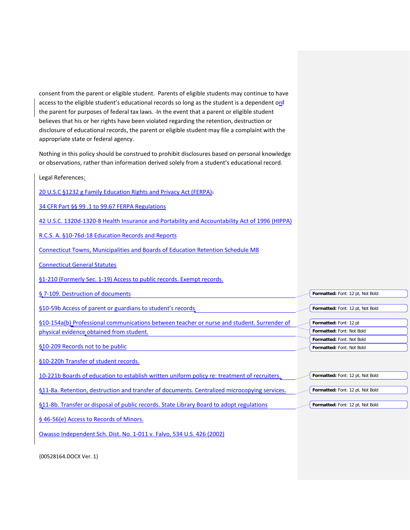consent from the parent or eligible student. Parents of eligible students may continue to have access to the eligible student's educational records so long as the student is a dependent onf the parent for purposes of federal tax laws. - In the event that a parent or eligible student believes that his or her rights have been violated regarding the retention, destruction or disclosure of educational records, the parent or eligible student may file a complaint with the appropriate state or federal agency.

Nothing in this policy should be construed to prohibit disclosures based on personal knowledge or observations, rather than information derived solely from a student's educational record.

| Legal References:                                                                              |                                  |
|------------------------------------------------------------------------------------------------|----------------------------------|
| 20 U.S.C §1232 g Family Education Rights and Privacy Act (FERPA):                              |                                  |
| 34 CFR Part §§ 99.1 to 99.67 FERPA Regulations                                                 |                                  |
| 42 U.S.C. 1320d-1320-8 Health Insurance and Portability and Accountability Act of 1996 (HIPPA) |                                  |
| R.C.S. A. §10-76d-18 Education Records and Reports                                             |                                  |
| Connecticut Towns, Municipalities and Boards of Education Retention Schedule M8                |                                  |
| <b>Connecticut General Statutes</b>                                                            |                                  |
| §1-210 (Formerly Sec. 1-19) Access to public records. Exempt records.                          |                                  |
| § 7-109. Destruction of documents                                                              | Formatted: Font: 12 pt, Not Bold |
| §10-59b Access of parent or guardians to student's records                                     | Formatted: Font: 12 pt, Not Bold |
| §10-154a(b) Professional communications between teacher or nurse and student. Surrender of     | Formatted: Font: 12 pt           |
| physical evidence obtained from student.                                                       | Formatted: Font: Not Bold        |
|                                                                                                | Formatted: Font: Not Bold        |
| §10-209 Records not to be public                                                               | Formatted: Font: Not Bold        |
| §10-220h Transfer of student records.                                                          |                                  |
| 10-221b Boards of education to establish written uniform policy re: treatment of recruiters.   | Formatted: Font: 12 pt, Not Bold |
| §11-8a. Retention, destruction and transfer of documents. Centralized microcopying services.   | Formatted: Font: 12 pt, Not Bold |
| §11-8b. Transfer or disposal of public records. State Library Board to adopt regulations       | Formatted: Font: 12 pt, Not Bold |
| § 46-56(e) Access to Records of Minors.                                                        |                                  |
| Owasso Independent Sch. Dist. No. 1-011 v. Falvo, 534 U.S. 426 (2002)                          |                                  |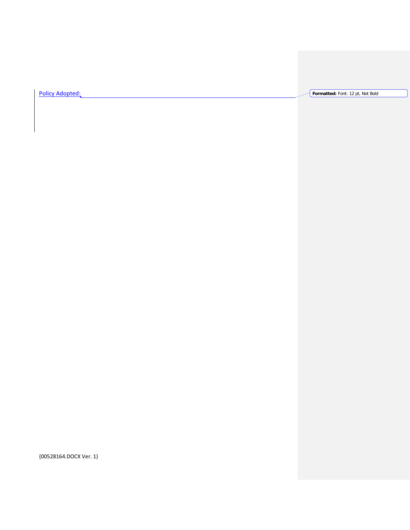Policy Adopted: **Formatted:** Font: 12 pt, Not Bold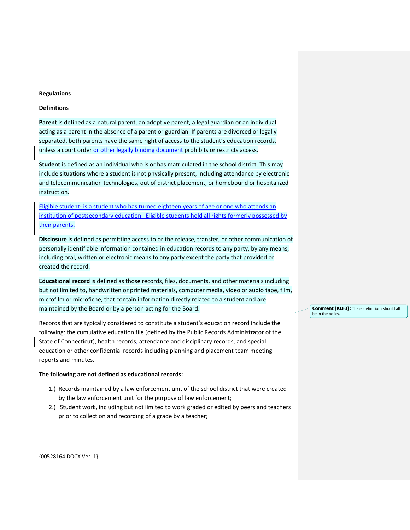### **Regulations**

# **Definitions**

**Parent** is defined as a natural parent, an adoptive parent, a legal guardian or an individual acting as a parent in the absence of a parent or guardian. If parents are divorced or legally separated, both parents have the same right of access to the student's education records, unless a court order or other legally binding document prohibits or restricts access.

**Student** is defined as an individual who is or has matriculated in the school district. This may include situations where a student is not physically present, including attendance by electronic and telecommunication technologies, out of district placement, or homebound or hospitalized instruction.

Eligible student- is a student who has turned eighteen years of age or one who attends an institution of postsecondary education. Eligible students hold all rights formerly possessed by their parents.

**Disclosure** is defined as permitting access to or the release, transfer, or other communication of personally identifiable information contained in education records to any party, by any means, including oral, written or electronic means to any party except the party that provided or created the record.

**Educational record** is defined as those records, files, documents, and other materials including but not limited to, handwritten or printed materials, computer media, video or audio tape, film, microfilm or microfiche, that contain information directly related to a student and are maintained by the Board or by a person acting for the Board.

Records that are typically considered to constitute a student's education record include the following: the cumulative education file (defined by the Public Records Administrator of the State of Connecticut), health records, attendance and disciplinary records, and special education or other confidential records including planning and placement team meeting reports and minutes.

# **The following are not defined as educational records:**

- 1.) Records maintained by a law enforcement unit of the school district that were created by the law enforcement unit for the purpose of law enforcement;
- 2.) Student work, including but not limited to work graded or edited by peers and teachers prior to collection and recording of a grade by a teacher;

**Comment [KLF3]:** These definitions should all be in the policy.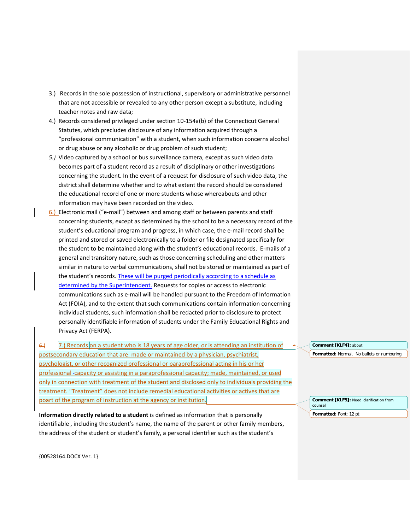- 3.) Records in the sole possession of instructional, supervisory or administrative personnel that are not accessible or revealed to any other person except a substitute, including teacher notes and raw data;
- 4.) Records considered privileged under section 10-154a(b) of the Connecticut General Statutes, which precludes disclosure of any information acquired through a "professional communication" with a student, when such information concerns alcohol or drug abuse or any alcoholic or drug problem of such student;
- *5.)* Video captured by a school or bus surveillance camera, except as such video data becomes part of a student record as a result of disciplinary or other investigations concerning the student. In the event of a request for disclosure of such video data, the district shall determine whether and to what extent the record should be considered the educational record of one or more students whose whereabouts and other information may have been recorded on the video.
- 6.) Electronic mail ("e-mail") between and among staff or between parents and staff concerning students, except as determined by the school to be a necessary record of the student's educational program and progress, in which case, the e-mail record shall be printed and stored or saved electronically to a folder or file designated specifically for the student to be maintained along with the student's educational records. E-mails of a general and transitory nature, such as those concerning scheduling and other matters similar in nature to verbal communications, shall not be stored or maintained as part of the student's records. These will be purged periodically according to a schedule as determined by the Superintendent. Requests for copies or access to electronic communications such as e-mail will be handled pursuant to the Freedom of Information Act (FOIA), and to the extent that such communications contain information concerning individual students, such information shall be redacted prior to disclosure to protect personally identifiable information of students under the Family Educational Rights and Privacy Act (FERPA).

 $6.$  7.) Records on a student who is 18 years of age older, or is attending an institution of postsecondary education that are: made or maintained by a physician, psychiatrist, psychologist, or other recognized professional or paraprofessional acting in his or her professional capacity or assisting in a paraprofessional capacity; made, maintained, or used only in connection with treatment of the student and disclosed only to individuals providing the treatment. "Treatment" does not include remedial educational activities or actives that are poart of the program of instruction at the agency or institution.

**Information directly related to a student** is defined as information that is personally identifiable , including the student's name, the name of the parent or other family members, the address of the student or student's family, a personal identifier such as the student's

**Formatted:** Normal, No bullets or numbering **Comment [KLF4]:** about

**Comment [KLF5]:** Need clarification from counsel **Formatted:** Font: 12 pt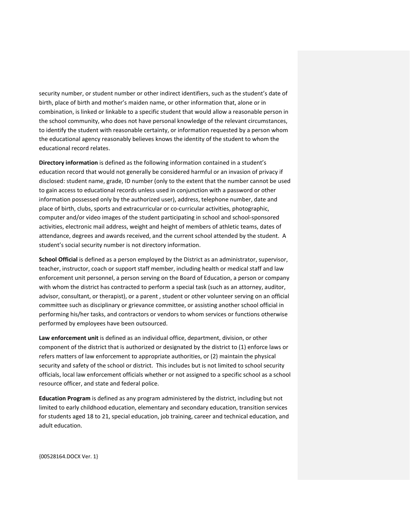security number, or student number or other indirect identifiers, such as the student's date of birth, place of birth and mother's maiden name, or other information that, alone or in combination, is linked or linkable to a specific student that would allow a reasonable person in the school community, who does not have personal knowledge of the relevant circumstances, to identify the student with reasonable certainty, or information requested by a person whom the educational agency reasonably believes knows the identity of the student to whom the educational record relates.

**Directory information** is defined as the following information contained in a student's education record that would not generally be considered harmful or an invasion of privacy if disclosed: student name, grade, ID number (only to the extent that the number cannot be used to gain access to educational records unless used in conjunction with a password or other information possessed only by the authorized user), address, telephone number, date and place of birth, clubs, sports and extracurricular or co-curricular activities, photographic, computer and/or video images of the student participating in school and school-sponsored activities, electronic mail address, weight and height of members of athletic teams, dates of attendance, degrees and awards received, and the current school attended by the student. A student's social security number is not directory information.

**School Official** is defined as a person employed by the District as an administrator, supervisor, teacher, instructor, coach or support staff member, including health or medical staff and law enforcement unit personnel, a person serving on the Board of Education, a person or company with whom the district has contracted to perform a special task (such as an attorney, auditor, advisor, consultant, or therapist), or a parent , student or other volunteer serving on an official committee such as disciplinary or grievance committee, or assisting another school official in performing his/her tasks, and contractors or vendors to whom services or functions otherwise performed by employees have been outsourced.

**Law enforcement unit** is defined as an individual office, department, division, or other component of the district that is authorized or designated by the district to (1) enforce laws or refers matters of law enforcement to appropriate authorities, or (2) maintain the physical security and safety of the school or district. This includes but is not limited to school security officials, local law enforcement officials whether or not assigned to a specific school as a school resource officer, and state and federal police.

**Education Program** is defined as any program administered by the district, including but not limited to early childhood education, elementary and secondary education, transition services for students aged 18 to 21, special education, job training, career and technical education, and adult education.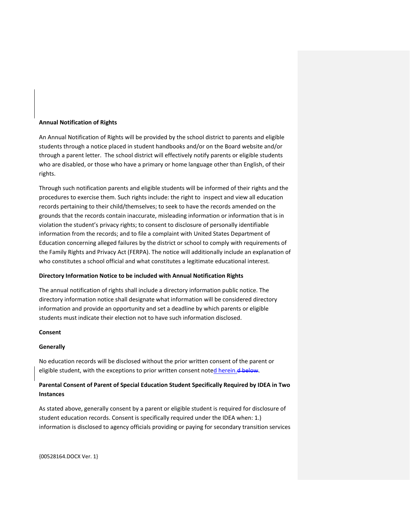## **Annual Notification of Rights**

An Annual Notification of Rights will be provided by the school district to parents and eligible students through a notice placed in student handbooks and/or on the Board website and/or through a parent letter. The school district will effectively notify parents or eligible students who are disabled, or those who have a primary or home language other than English, of their rights.

Through such notification parents and eligible students will be informed of their rights and the procedures to exercise them. Such rights include: the right to inspect and view all education records pertaining to their child/themselves; to seek to have the records amended on the grounds that the records contain inaccurate, misleading information or information that is in violation the student's privacy rights; to consent to disclosure of personally identifiable information from the records; and to file a complaint with United States Department of Education concerning alleged failures by the district or school to comply with requirements of the Family Rights and Privacy Act (FERPA). The notice will additionally include an explanation of who constitutes a school official and what constitutes a legitimate educational interest.

### **Directory Information Notice to be included with Annual Notification Rights**

The annual notification of rights shall include a directory information public notice. The directory information notice shall designate what information will be considered directory information and provide an opportunity and set a deadline by which parents or eligible students must indicate their election not to have such information disclosed.

### **Consent**

# **Generally**

No education records will be disclosed without the prior written consent of the parent or eligible student, with the exceptions to prior written consent noted herein.d below.

# **Parental Consent of Parent of Special Education Student Specifically Required by IDEA in Two Instances**

As stated above, generally consent by a parent or eligible student is required for disclosure of student education records. Consent is specifically required under the IDEA when: 1.) information is disclosed to agency officials providing or paying for secondary transition services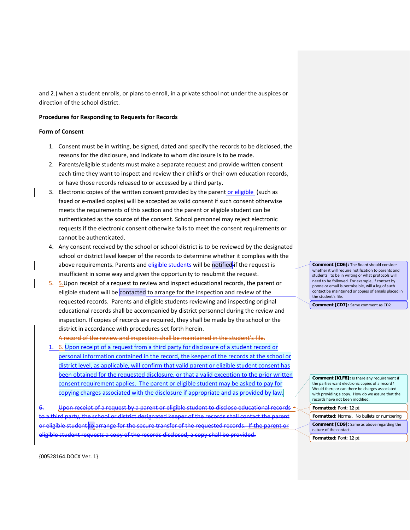and 2.) when a student enrolls, or plans to enroll, in a private school not under the auspices or direction of the school district.

# **Procedures for Responding to Requests for Records**

## **Form of Consent**

- 1. Consent must be in writing, be signed, dated and specify the records to be disclosed, the reasons for the disclosure, and indicate to whom disclosure is to be made.
- 2. Parents/eligible students must make a separate request and provide written consent each time they want to inspect and review their child's or their own education records, or have those records released to or accessed by a third party.
- 3. Electronic copies of the written consent provided by the parent or eligible (such as faxed or e-mailed copies) will be accepted as valid consent if such consent otherwise meets the requirements of this section and the parent or eligible student can be authenticated as the source of the consent. School personnel may reject electronic requests if the electronic consent otherwise fails to meet the consent requirements or cannot be authenticated.
- 4. Any consent received by the school or school district is to be reviewed by the designated school or district level keeper of the records to determine whether it complies with the above requirements. Parents and eligible students will be notified-if the request is insufficient in some way and given the opportunity to resubmit the request.
- 5. 5. Upon receipt of a request to review and inspect educational records, the parent or eligible student will be contacted to arrange for the inspection and review of the requested records. Parents and eligible students reviewing and inspecting original educational records shall be accompanied by district personnel during the review and inspection. If copies of records are required, they shall be made by the school or the district in accordance with procedures set forth herein.

A record of the review and inspection shall be maintained in the student's file.

1. 6. Upon receipt of a request from a third party for disclosure of a student record or personal information contained in the record, the keeper of the records at the school or district level, as applicable, will confirm that valid parent or eligible student consent has been obtained for the requested disclosure, or that a valid exception to the prior written consent requirement applies. The parent or eligible student may be asked to pay for copying charges associated with the disclosure if appropriate and as provided by law.

Upon receipt of a request by a parent or eligible student to disclose educational records to a third party, the school or district designated keeper of the records shall contact the parent or eligible student to arrange for the secure transfer of the requested records. If the parent or requests a copy of the records disclosed, a copy shall be provided.

**Comment [CD6]:** The Board should consider whether it will require notification to parents and students to be in writing or what protocols will need to be followed. For example, if contact by phone or email is permissible, will a log of such contact be maintained or copies of emails placed in the student's file.

**Comment [CD7]:** Same comment as CD2

**Comment [KLF8]:** Is there any requirement if the parties want electronic copies of a record? Would there or can there be charges associated with providing a copy. How do we assure that the records have not been modified.

- **Formatted:** Font: 12 pt **Formatted:** Normal, No bullets or numbering
- **Comment [CD9]:** Same as above regarding the
- nature of the contact.
- **Formatted:** Font: 12 pt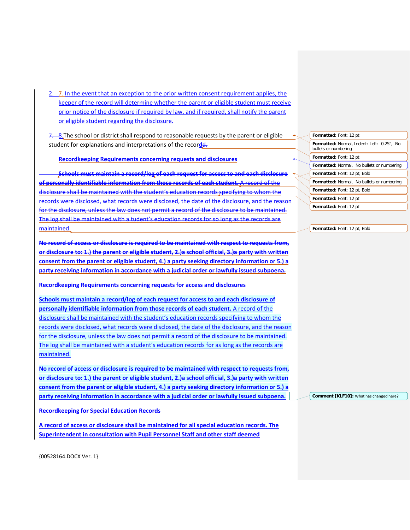2. 7. In the event that an exception to the prior written consent requirement applies, the keeper of the record will determine whether the parent or eligible student must receive prior notice of the disclosure if required by law, and if required, shall notify the parent or eligible student regarding the disclosure.

7. **8.** The school or district shall respond to reasonable requests by the parent or eligible student for explanations and interpretations of the recor**d**d.

**Recordkeeping Requirements concerning requests and disclosures**

**Schools must maintain a record/log of each request for access to and each disclosure of personally identifiable information from those records of each student.** A record of the disclosure shall be maintained with the student's education records specifying to whom the records were disclosed, what records were disclosed, the date of the disclosure, and the reason for the disclosure, unless the law does not permit a record of the disclosure to be maintained. The log shall be maintained with a tudent's education records for so long as the records are maintained.

**No record of access or disclosure is required to be maintained with respect to requests from, or disclosure to: 1.) the parent or eligible student, 2.)a school official, 3.)a party with written consent from the parent or eligible student, 4.) a party seeking directory information or 5.) a party receiving information in accordance with a judicial order or lawfully issued subpoena.**

**Recordkeeping Requirements concerning requests for access and disclosures**

**Schools must maintain a record/log of each request for access to and each disclosure of personally identifiable information from those records of each student.** A record of the disclosure shall be maintained with the student's education records specifying to whom the records were disclosed, what records were disclosed, the date of the disclosure, and the reason for the disclosure, unless the law does not permit a record of the disclosure to be maintained. The log shall be maintained with a student's education records for as long as the records are maintained.

**No record of access or disclosure is required to be maintained with respect to requests from, or disclosure to: 1.) the parent or eligible student, 2.)a school official, 3.)a party with written consent from the parent or eligible student, 4.) a party seeking directory information or 5.) a party receiving information in accordance with a judicial order or lawfully issued subpoena.**

**Recordkeeping for Special Education Records**

**A record of access or disclosure shall be maintained for all special education records. The Superintendent in consultation with Pupil Personnel Staff and other staff deemed** 

| Formatted: Font: 12 pt                                             |
|--------------------------------------------------------------------|
| Formatted: Normal, Indent: Left: 0.25", No<br>bullets or numbering |
| Formatted: Font: 12 pt                                             |
| <b>Formatted:</b> Normal, No bullets or numbering                  |
| <b>Formatted:</b> Font: 12 pt, Bold                                |
| <b>Formatted:</b> Normal, No bullets or numbering                  |
| Formatted: Font: 12 pt, Bold                                       |
| <b>Formatted:</b> Font: 12 pt                                      |
| Formatted: Font: 12 pt                                             |

**Formatted:** Font: 12 pt, Bold

**Comment [KLF10]:** What has changed here?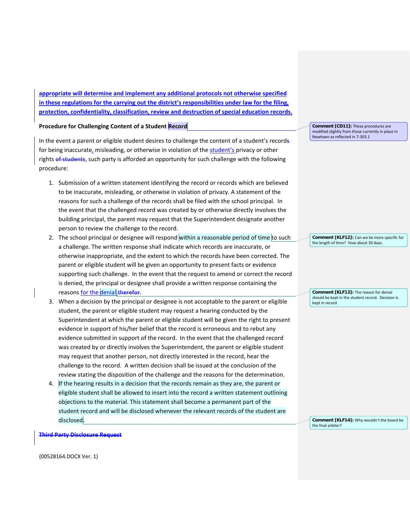**appropriate will determine and implement any additional protocols not otherwise specified in these regulations for the carrying out the district's responsibilities under law for the filing, protection, confidentiality, classification, review and destruction of special education records.** 

**Procedure for Challenging Content of a Student Record**

In the event a parent or eligible student desires to challenge the content of a student's records for being inaccurate, misleading, or otherwise in violation of the student's privacy or other rights of students, such party is afforded an opportunity for such challenge with the following procedure:

- 1. Submission of a written statement identifying the record or records which are believed to be inaccurate, misleading, or otherwise in violation of privacy. A statement of the reasons for such a challenge of the records shall be filed with the school principal. In the event that the challenged record was created by or otherwise directly involves the building principal, the parent may request that the Superintendent designate another person to review the challenge to the record.
- 2. The school principal or designee will respond within a reasonable period of time to such a challenge. The written response shall indicate which records are inaccurate, or otherwise inappropriate, and the extent to which the records have been corrected. The parent or eligible student will be given an opportunity to present facts or evidence supporting such challenge. In the event that the request to amend or correct the record is denied, the principal or designee shall provide a written response containing the reasons for the denial therefor.
- 3. When a decision by the principal or designee is not acceptable to the parent or eligible student, the parent or eligible student may request a hearing conducted by the Superintendent at which the parent or eligible student will be given the right to present evidence in support of his/her belief that the record is erroneous and to rebut any evidence submitted in support of the record. In the event that the challenged record was created by or directly involves the Superintendent, the parent or eligible student may request that another person, not directly interested in the record, hear the challenge to the record. A written decision shall be issued at the conclusion of the review stating the disposition of the challenge and the reasons for the determination.
- 4. If the hearing results in a decision that the records remain as they are, the parent or eligible student shall be allowed to insert into the record a written statement outlining objections to the material. This statement shall become a permanent part of the student record and will be disclosed whenever the relevant records of the student are disclosed.

**Comment [CD11]:** These procedures are modified slightly from those currently in place in Newtown as reflected in 7-303.1

**Comment [KLF12]:** Can we be more specific for the length of time? How about 30 days.

**Comment [KLF13]:** The reason for denial should be kept in the student record. Decision is kept in record

**Comment [KLF14]:** Why wouldn't the board be the final arbiter?

**Third Party Disclosure Request**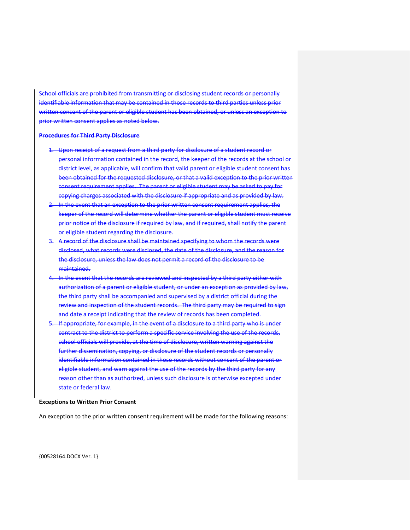School officials are prohibited from transmitting or disclosing student records or personally identifiable information that may be contained in those records to third parties unless prior written consent of the parent or eligible student has been obtained, or unless an exception to prior written consent applies as noted below.

### **Procedures for Third Party Disclosure**

- 1. Upon receipt of a request from a third party for disclosure of a student record or personal information contained in the record, the keeper of the records at the school or district level, as applicable, will confirm that valid parent or eligible student consent has been obtained for the requested disclosure, or that a valid exception to the prior written consent requirement applies. The parent or eligible student may be asked to pay for copying charges associated with the disclosure if appropriate and as provided by law.
- In the event that an exception to the prior written consent requirement applies, the keeper of the record will determine whether the parent or eligible student must receive prior notice of the disclosure if required by law, and if required, shall notify the parent or eligible student regarding the disclosure.
- 3. A record of the disclosure shall be maintained specifying to whom the records were disclosed, what records were disclosed, the date of the disclosure, and the reason for the disclosure, unless the law does not permit a record of the disclosure to be maintained.
- 4. In the event that the records are reviewed and inspected by a third party either with authorization of a parent or eligible student, or under an exception as provided by law, the third party shall be accompanied and supervised by a district official during the review and inspection of the student records. The third party may be required to sign and date a receipt indicating that the review of records has been completed.
- 5. If appropriate, for example, in the event of a disclosure to a third party who is under contract to the district to perform a specific service involving the use of the records, school officials will provide, at the time of disclosure, written warning against the further dissemination, copying, or disclosure of the student records or personally identifiable information contained in those records without consent of the parent or eligible student, and warn against the use of the records by the third party for any reason other than as authorized, unless such disclosure is otherwise excepted under state or federal law.

#### **Exceptions to Written Prior Consent**

An exception to the prior written consent requirement will be made for the following reasons: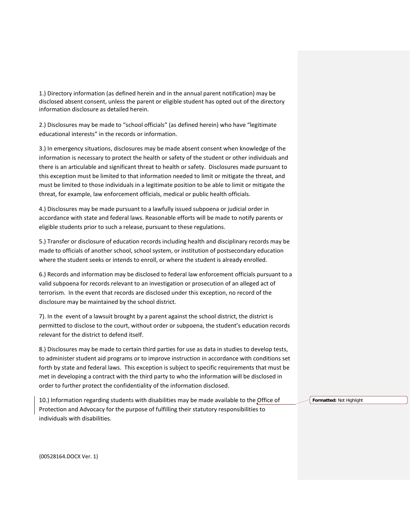1.) Directory information (as defined herein and in the annual parent notification) may be disclosed absent consent, unless the parent or eligible student has opted out of the directory information disclosure as detailed herein.

2.) Disclosures may be made to "school officials" (as defined herein) who have "legitimate educational interests" in the records or information.

3.) In emergency situations, disclosures may be made absent consent when knowledge of the information is necessary to protect the health or safety of the student or other individuals and there is an articulable and significant threat to health or safety. Disclosures made pursuant to this exception must be limited to that information needed to limit or mitigate the threat, and must be limited to those individuals in a legitimate position to be able to limit or mitigate the threat, for example, law enforcement officials, medical or public health officials.

4.) Disclosures may be made pursuant to a lawfully issued subpoena or judicial order in accordance with state and federal laws. Reasonable efforts will be made to notify parents or eligible students prior to such a release, pursuant to these regulations.

5.) Transfer or disclosure of education records including health and disciplinary records may be made to officials of another school, school system, or institution of postsecondary education where the student seeks or intends to enroll, or where the student is already enrolled.

6.) Records and information may be disclosed to federal law enforcement officials pursuant to a valid subpoena for records relevant to an investigation or prosecution of an alleged act of terrorism. In the event that records are disclosed under this exception, no record of the disclosure may be maintained by the school district.

7). In the event of a lawsuit brought by a parent against the school district, the district is permitted to disclose to the court, without order or subpoena, the student's education records relevant for the district to defend itself.

8.) Disclosures may be made to certain third parties for use as data in studies to develop tests, to administer student aid programs or to improve instruction in accordance with conditions set forth by state and federal laws. This exception is subject to specific requirements that must be met in developing a contract with the third party to who the information will be disclosed in order to further protect the confidentiality of the information disclosed.

10.) Information regarding students with disabilities may be made available to the Office of Protection and Advocacy for the purpose of fulfilling their statutory responsibilities to individuals with disabilities.

**Formatted:** Not Highlight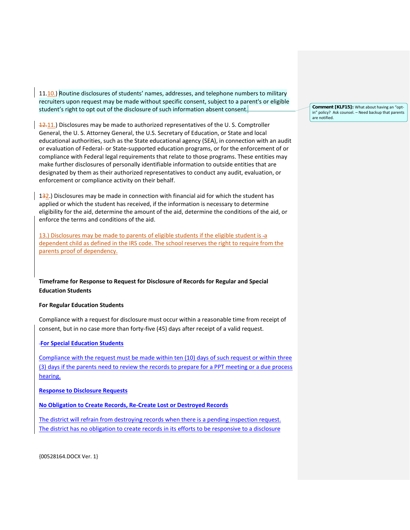11.10.) Routine disclosures of students' names, addresses, and telephone numbers to military recruiters upon request may be made without specific consent, subject to a parent's or eligible student's right to opt out of the disclosure of such information absent consent.

 $12.11$ .) Disclosures may be made to authorized representatives of the U.S. Comptroller General, the U. S. Attorney General, the U.S. Secretary of Education, or State and local educational authorities, such as the State educational agency (SEA), in connection with an audit or evaluation of Federal- or State-supported education programs, or for the enforcement of or compliance with Federal legal requirements that relate to those programs. These entities may make further disclosures of personally identifiable information to outside entities that are designated by them as their authorized representatives to conduct any audit, evaluation, or enforcement or compliance activity on their behalf.

132.) Disclosures may be made in connection with financial aid for which the student has applied or which the student has received, if the information is necessary to determine eligibility for the aid, determine the amount of the aid, determine the conditions of the aid, or enforce the terms and conditions of the aid.

13.) Disclosures may be made to parents of eligible students if the eligible student is -a dependent child as defined in the IRS code. The school reserves the right to require from the parents proof of dependency.

# **Timeframe for Response to Request for Disclosure of Records for Regular and Special Education Students**

## **For Regular Education Students**

Compliance with a request for disclosure must occur within a reasonable time from receipt of consent, but in no case more than forty-five (45) days after receipt of a valid request.

### **For Special Education Students**

Compliance with the request must be made within ten (10) days of such request or within three (3) days if the parents need to review the records to prepare for a PPT meeting or a due process hearing.

**Response to Disclosure Requests**

**No Obligation to Create Records, Re-Create Lost or Destroyed Records**

The district will refrain from destroying records when there is a pending inspection request. The district has no obligation to create records in its efforts to be responsive to a disclosure

{00528164.DOCX Ver. 1}

**Comment [KLF15]:** What about having an "optin" policy? Ask counsel. – Need backup that parents are notified.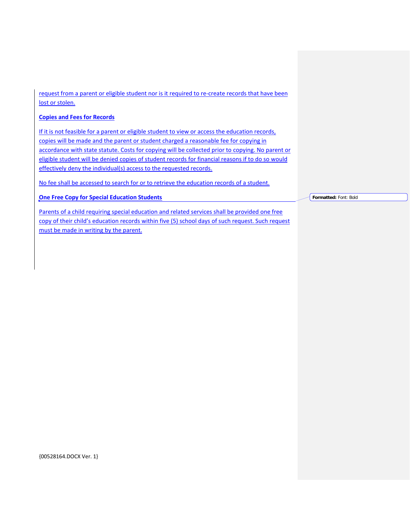request from a parent or eligible student nor is it required to re-create records that have been lost or stolen.

# **Copies and Fees for Records**

If it is not feasible for a parent or eligible student to view or access the education records, copies will be made and the parent or student charged a reasonable fee for copying in accordance with state statute. Costs for copying will be collected prior to copying. No parent or eligible student will be denied copies of student records for financial reasons if to do so would effectively deny the individual(s) access to the requested records.

No fee shall be accessed to search for or to retrieve the education records of a student.

**One Free Copy for Special Education Students**

Parents of a child requiring special education and related services shall be provided one free copy of their child's education records within five (5) school days of such request. Such request must be made in writing by the parent.

**Formatted:** Font: Bold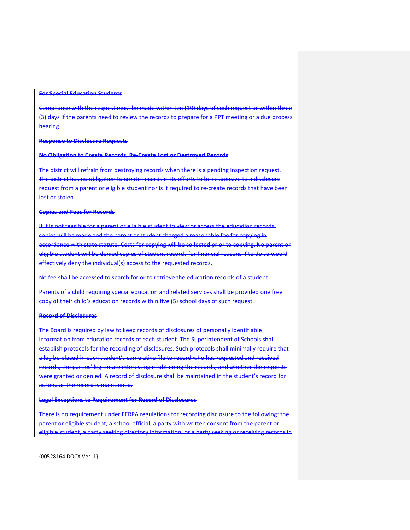### **For Special Education Students**

Compliance with the request must be made within ten (10) days of such request or within three (3) days if the parents need to review the records to prepare for a PPT meeting or a due process hearing.

#### **Response to Disclosure Requests**

## **No Obligation to Create Records, Re-Create Lost or Destroyed Records**

The district will refrain from destroying records when there is a pending inspection request. The district has no obligation to create records in its efforts to be responsive to a disclosure request from a parent or eligible student nor is it required to re-create records that have been lost or stolen.

## **Copies and Fees for Records**

If it is not feasible for a parent or eligible student to view or access the education records, copies will be made and the parent or student charged a reasonable fee for copying in accordance with state statute. Costs for copying will be collected prior to copying. No parent or eligible student will be denied copies of student records for financial reasons if to do so would effectively deny the individual(s) access to the requested records.

No fee shall be accessed to search for or to retrieve the education records of a student.

Parents of a child requiring special education and related services shall be provided one free copy of their child's education records within five (5) school days of such request.

## **Record of Disclosures**

The Board is required by law to keep records of disclosures of personally identifiable information from education records of each student. The Superintendent of Schools shall establish protocols for the recording of disclosures. Such protocols shall minimally require that a log be placed in each student's cumulative file to record who has requested and received records, the parties' legitimate interesting in obtaining the records, and whether the requests were granted or denied. A record of disclosure shall be maintained in the student's record for as long as the record is maintained.

### **Legal Exceptions to Requirement for Record of Disclosures**

There is no requirement under FERPA regulations for recording disclosure to the following: the parent or eligible student, a school official, a party with written consent from the parent or eligible student, a party seeking directory information, or a party seeking or receiving records in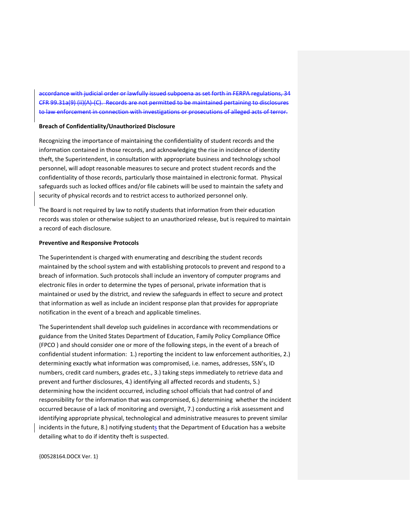accordance with judicial order or lawfully issued subpoena as set forth in FERPA regulations, 34 CFR 99.31a(9) (ii)(A)-(C). Records are not permitted to be maintained pertaining to disclosures to law enforcement in connection with investigations or prosecutions of alleged acts of terror.

### **Breach of Confidentiality/Unauthorized Disclosure**

Recognizing the importance of maintaining the confidentiality of student records and the information contained in those records, and acknowledging the rise in incidence of identity theft, the Superintendent, in consultation with appropriate business and technology school personnel, will adopt reasonable measures to secure and protect student records and the confidentiality of those records, particularly those maintained in electronic format. Physical safeguards such as locked offices and/or file cabinets will be used to maintain the safety and security of physical records and to restrict access to authorized personnel only.

The Board is not required by law to notify students that information from their education records was stolen or otherwise subject to an unauthorized release, but is required to maintain a record of each disclosure.

### **Preventive and Responsive Protocols**

The Superintendent is charged with enumerating and describing the student records maintained by the school system and with establishing protocols to prevent and respond to a breach of information. Such protocols shall include an inventory of computer programs and electronic files in order to determine the types of personal, private information that is maintained or used by the district, and review the safeguards in effect to secure and protect that information as well as include an incident response plan that provides for appropriate notification in the event of a breach and applicable timelines.

The Superintendent shall develop such guidelines in accordance with recommendations or guidance from the United States Department of Education, Family Policy Compliance Office (FPCO ) and should consider one or more of the following steps, in the event of a breach of confidential student information: 1.) reporting the incident to law enforcement authorities, 2.) determining exactly what information was compromised, i.e. names, addresses, SSN's, ID numbers, credit card numbers, grades etc., 3.) taking steps immediately to retrieve data and prevent and further disclosures, 4.) identifying all affected records and students, 5.) determining how the incident occurred, including school officials that had control of and responsibility for the information that was compromised, 6.) determining whether the incident occurred because of a lack of monitoring and oversight, 7.) conducting a risk assessment and identifying appropriate physical, technological and administrative measures to prevent similar incidents in the future, 8.) notifying students that the Department of Education has a website detailing what to do if identity theft is suspected.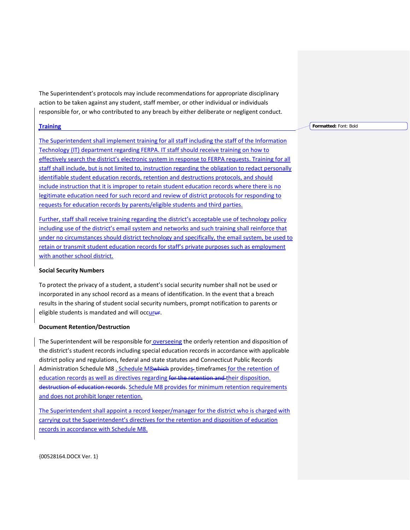The Superintendent's protocols may include recommendations for appropriate disciplinary action to be taken against any student, staff member, or other individual or individuals responsible for, or who contributed to any breach by either deliberate or negligent conduct.

## **Training**

The Superintendent shall implement training for all staff including the staff of the Information Technology (IT) department regarding FERPA. IT staff should receive training on how to effectively search the district's electronic system in response to FERPA requests. Training for all staff shall include, but is not limited to, instruction regarding the obligation to redact personally identifiable student education records, retention and destructions protocols, and should include instruction that it is improper to retain student education records where there is no legitimate education need for such record and review of district protocols for responding to requests for education records by parents/eligible students and third parties.

Further, staff shall receive training regarding the district's acceptable use of technology policy including use of the district's email system and networks and such training shall reinforce that under no circumstances should district technology and specifically, the email system, be used to retain or transmit student education records for staff's private purposes such as employment with another school district.

### **Social Security Numbers**

To protect the privacy of a student, a student's social security number shall not be used or incorporated in any school record as a means of identification. In the event that a breach results in the sharing of student social security numbers, prompt notification to parents or eligible students is mandated and will occurur.

## **Document Retention/Destruction**

The Superintendent will be responsible for overseeing the orderly retention and disposition of the district's student records including special education records in accordance with applicable district policy and regulations, federal and state statutes and Connecticut Public Records Administration Schedule M8 . Schedule M8which provides- timeframes for the retention of education records as well as directives regarding for the retention and their disposition. destruction of education records. Schedule M8 provides for minimum retention requirements and does not prohibit longer retention.

The Superintendent shall appoint a record keeper/manager for the district who is charged with carrying out the Superintendent's directives for the retention and disposition of education records in accordance with Schedule M8.

**Formatted:** Font: Bold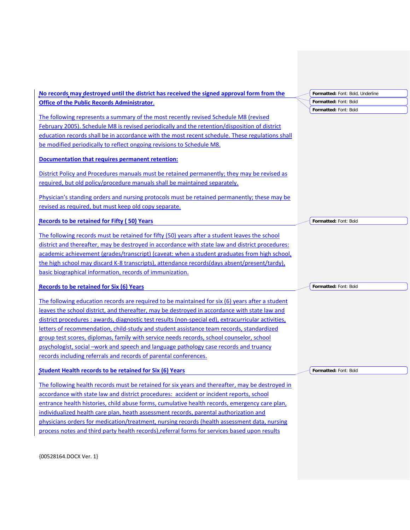| No records may destroyed until the district has received the signed approval form from the                                                                                                              | Formatted: Font: Bold, Underline |
|---------------------------------------------------------------------------------------------------------------------------------------------------------------------------------------------------------|----------------------------------|
| <b>Office of the Public Records Administrator.</b>                                                                                                                                                      | Formatted: Font: Bold            |
| The following represents a summary of the most recently revised Schedule M8 (revised                                                                                                                    | Formatted: Font: Bold            |
|                                                                                                                                                                                                         |                                  |
| <b>February 2005). Schedule M8 is revised periodically and the retention/disposition of district</b><br>education records shall be in accordance with the most recent schedule. These regulations shall |                                  |
| be modified periodically to reflect ongoing revisions to Schedule M8.                                                                                                                                   |                                  |
|                                                                                                                                                                                                         |                                  |
| Documentation that requires permanent retention:                                                                                                                                                        |                                  |
| District Policy and Procedures manuals must be retained permanently; they may be revised as                                                                                                             |                                  |
| required, but old policy/procedure manuals shall be maintained separately.                                                                                                                              |                                  |
| Physician's standing orders and nursing protocols must be retained permanently; these may be                                                                                                            |                                  |
| revised as required, but must keep old copy separate.                                                                                                                                                   |                                  |
|                                                                                                                                                                                                         |                                  |
| <b>Records to be retained for Fifty (50) Years</b>                                                                                                                                                      | Formatted: Font: Bold            |
| The following records must be retained for fifty (50) years after a student leaves the school                                                                                                           |                                  |
| district and thereafter, may be destroyed in accordance with state law and district procedures:                                                                                                         |                                  |
| academic achievement (grades/transcript) (caveat: when a student graduates from high school,                                                                                                            |                                  |
| the high school may discard K-8 transcripts), attendance records(days absent/present/tardy),                                                                                                            |                                  |
| basic biographical information, records of immunization.                                                                                                                                                |                                  |
| <b>Records to be retained for Six (6) Years</b>                                                                                                                                                         | Formatted: Font: Bold            |
| The following education records are required to be maintained for $\sin(6)$ years after a student                                                                                                       |                                  |
| leaves the school district, and thereafter, may be destroyed in accordance with state law and                                                                                                           |                                  |
| district procedures : awards, diagnostic test results (non-special ed), extracurricular activities,                                                                                                     |                                  |
| letters of recommendation, child-study and student assistance team records, standardized                                                                                                                |                                  |
| group test scores, diplomas, family with service needs records, school counselor, school                                                                                                                |                                  |
| psychologist, social –work and speech and language pathology case records and truancy                                                                                                                   |                                  |
| records including referrals and records of parental conferences.                                                                                                                                        |                                  |
|                                                                                                                                                                                                         |                                  |
| <b>Student Health records to be retained for Six (6) Years</b>                                                                                                                                          | Formatted: Font: Bold            |
| The following health records must be retained for six years and thereafter, may be destroyed in                                                                                                         |                                  |
| accordance with state law and district procedures: accident or incident reports, school                                                                                                                 |                                  |
| entrance health histories, child abuse forms, cumulative health records, emergency care plan,                                                                                                           |                                  |
| individualized health care plan, heath assessment records, parental authorization and                                                                                                                   |                                  |
| physicians orders for medication/treatment, nursing records (health assessment data, nursing                                                                                                            |                                  |

process notes and third party health records),referral forms for services based upon results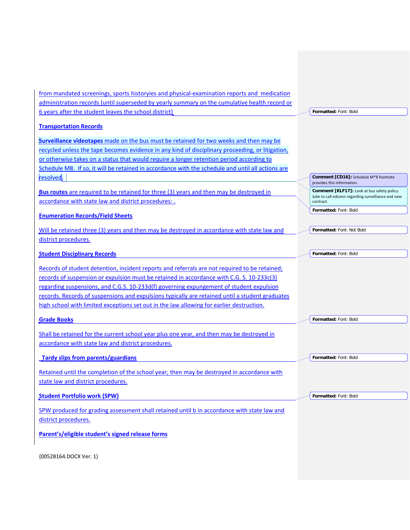| from mandated screenings, sports historyies and physical-examination reports and medication       |                                                                     |
|---------------------------------------------------------------------------------------------------|---------------------------------------------------------------------|
| administration records (until superseded by yearly summary on the cumulative health record or     |                                                                     |
| 6 years after the student leaves the school district)                                             | Formatted: Font: Bold                                               |
| <b>Transportation Records</b>                                                                     |                                                                     |
| Surveillance videotapes made on the bus must be retained for two weeks and then may be            |                                                                     |
| recycled unless the tape becomes evidence in any kind of disciplinary proceeding, or litigation,  |                                                                     |
| or otherwise takes on a status that would require a longer retention period according to          |                                                                     |
| Schedule M8. If so, it will be retained in accordance with the schedule and until all actions are |                                                                     |
| resolved.                                                                                         | Comment [CD16]: Schedule M*8 footnote<br>provides this information. |
| Bus routes are required to be retained for three (3) years and then may be destroyed in           | Comment [KLF17]: Look at bus safety policy.                         |
| accordance with state law and district procedures:.                                               | Julie to call edconn regarding survelliance and new<br>contract.    |
| <b>Enumeration Records/Field Sheets</b>                                                           | Formatted: Font: Bold                                               |
|                                                                                                   |                                                                     |
| Will be retained three (3) years and then may be destroyed in accordance with state law and       | Formatted: Font: Not Bold                                           |
| district procedures.                                                                              |                                                                     |
| <b>Student Disciplinary Records</b>                                                               | Formatted: Font: Bold                                               |
| Records of student detention, incident reports and referrals are not required to be retained;     |                                                                     |
| records of suspension or expulsion must be retained in accordance with C.G. S. 10-233c(3)         |                                                                     |
| regarding suspensions, and C.G.S. 10-233d(f) governing expungement of student expulsion           |                                                                     |
| records. Records of suspensions and expulsions typically are retained until a student graduates   |                                                                     |
| high school with limited exceptions set out in the law allowing for earlier destruction.          |                                                                     |
|                                                                                                   | Formatted: Font: Bold                                               |
| <b>Grade Books</b>                                                                                |                                                                     |
| Shall be retained for the current school year plus one year, and then may be destroyed in         |                                                                     |
| accordance with state law and district procedures.                                                |                                                                     |
| Tardy slips from parents/guardians                                                                | Formatted: Font: Bold                                               |
|                                                                                                   |                                                                     |
| Retained until the completion of the school year: then may be destroyed in accordance with        |                                                                     |
| state law and district procedures.                                                                |                                                                     |
| <b>Student Portfolio work (SPW)</b>                                                               | Formatted: Font: Bold                                               |
| SPW produced for grading assessment shall retained until b in accordance with state law and       |                                                                     |
| district procedures.                                                                              |                                                                     |
|                                                                                                   |                                                                     |
| Parent's/eligible student's signed release forms                                                  |                                                                     |
|                                                                                                   |                                                                     |
| {00528164.DOCX Ver. 1}                                                                            |                                                                     |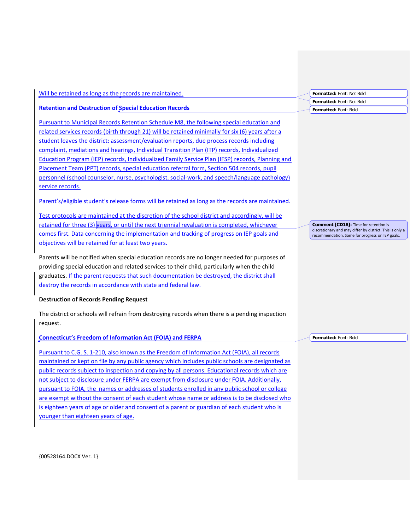| Will be retained as long as the records are maintained.                                                     | Formatted: Font: Not Bold                                                                                   |
|-------------------------------------------------------------------------------------------------------------|-------------------------------------------------------------------------------------------------------------|
|                                                                                                             | Formatted: Font: Not Bold                                                                                   |
| <b>Retention and Destruction of Special Education Records</b>                                               | Formatted: Font: Bold                                                                                       |
| Pursuant to Municipal Records Retention Schedule M8, the following special education and                    |                                                                                                             |
| related services records (birth through 21) will be retained minimally for six (6) years after a            |                                                                                                             |
| student leaves the district: assessment/evaluation reports, due process records including                   |                                                                                                             |
| complaint, mediations and hearings, Individual Transition Plan (ITP) records, Individualized                |                                                                                                             |
| Education Program (IEP) records, Individualized Family Service Plan (IFSP) records, Planning and            |                                                                                                             |
| Placement Team (PPT) records, special education referral form, Section 504 records, pupil                   |                                                                                                             |
| personnel (school counselor, nurse, psychologist, social-work, and speech/language pathology)               |                                                                                                             |
| service records.                                                                                            |                                                                                                             |
| Parent's/eligible student's release forms will be retained as long as the records are maintained.           |                                                                                                             |
| Test protocols are maintained at the discretion of the school district and accordingly, will be             |                                                                                                             |
| retained for three (3) years, or until the next triennial revaluation is completed, whichever               | <b>Comment [CD18]:</b> Time for retention is                                                                |
| comes first. Data concerning the implementation and tracking of progress on IEP goals and                   | discretionary and may differ by district. This is only a<br>recommendation. Same for progress on IEP goals. |
| objectives will be retained for at least two years.                                                         |                                                                                                             |
| Parents will be notified when special education records are no longer needed for purposes of                |                                                                                                             |
| providing special education and related services to their child, particularly when the child                |                                                                                                             |
| graduates. If the parent requests that such documentation be destroyed, the district shall                  |                                                                                                             |
| destroy the records in accordance with state and federal law.                                               |                                                                                                             |
| <b>Destruction of Records Pending Request</b>                                                               |                                                                                                             |
| The district or schools will refrain from destroying records when there is a pending inspection<br>request. |                                                                                                             |
| <b>Connecticut's Freedom of Information Act (FOIA) and FERPA</b>                                            | Formatted: Font: Bold                                                                                       |
| Pursuant to C.G. S. 1-210, also known as the Freedom of Information Act (FOIA), all records                 |                                                                                                             |
| maintained or kept on file by any public agency which includes public schools are designated as             |                                                                                                             |
| public records subject to inspection and copying by all persons. Educational records which are              |                                                                                                             |
| not subject to disclosure under FERPA are exempt from disclosure under FOIA. Additionally,                  |                                                                                                             |
| pursuant to FOIA, the names or addresses of students enrolled in any public school or college               |                                                                                                             |

are exempt without the consent of each student whose name or address is to be disclosed who is eighteen years of age or older and consent of a parent or guardian of each student who is

{00528164.DOCX Ver. 1}

younger than eighteen years of age.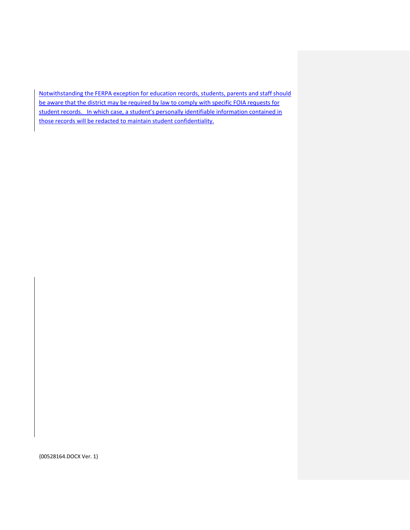Notwithstanding the FERPA exception for education records, students, parents and staff should be aware that the district may be required by law to comply with specific FOIA requests for student records. In which case, a student's personally identifiable information contained in those records will be redacted to maintain student confidentiality.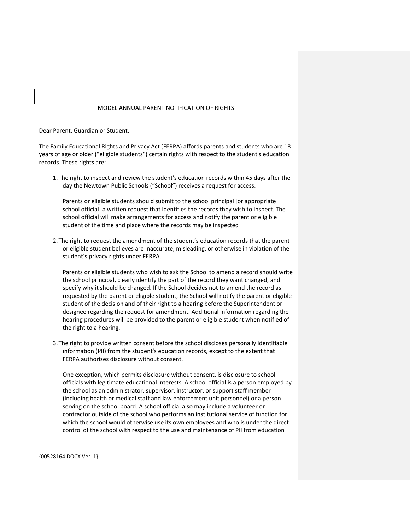# MODEL ANNUAL PARENT NOTIFICATION OF RIGHTS

Dear Parent, Guardian or Student,

The Family Educational Rights and Privacy Act (FERPA) affords parents and students who are 18 years of age or older ("eligible students") certain rights with respect to the student's education records. These rights are:

1.The right to inspect and review the student's education records within 45 days after the day the Newtown Public Schools ("School") receives a request for access.

Parents or eligible students should submit to the school principal [or appropriate school official] a written request that identifies the records they wish to inspect. The school official will make arrangements for access and notify the parent or eligible student of the time and place where the records may be inspected

2.The right to request the amendment of the student's education records that the parent or eligible student believes are inaccurate, misleading, or otherwise in violation of the student's privacy rights under FERPA.

Parents or eligible students who wish to ask the School to amend a record should write the school principal, clearly identify the part of the record they want changed, and specify why it should be changed. If the School decides not to amend the record as requested by the parent or eligible student, the School will notify the parent or eligible student of the decision and of their right to a hearing before the Superintendent or designee regarding the request for amendment. Additional information regarding the hearing procedures will be provided to the parent or eligible student when notified of the right to a hearing.

3.The right to provide written consent before the school discloses personally identifiable information (PII) from the student's education records, except to the extent that FERPA authorizes disclosure without consent.

One exception, which permits disclosure without consent, is disclosure to school officials with legitimate educational interests. A school official is a person employed by the school as an administrator, supervisor, instructor, or support staff member (including health or medical staff and law enforcement unit personnel) or a person serving on the school board. A school official also may include a volunteer or contractor outside of the school who performs an institutional service of function for which the school would otherwise use its own employees and who is under the direct control of the school with respect to the use and maintenance of PII from education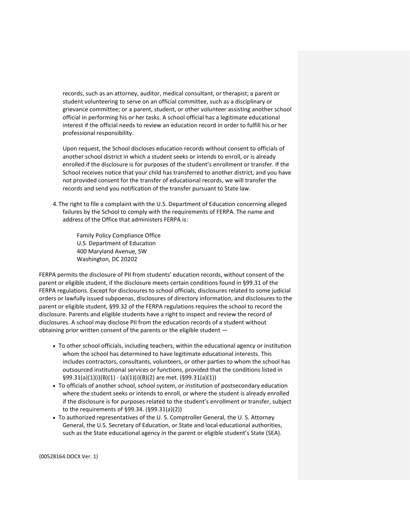records, such as an attorney, auditor, medical consultant, or therapist; a parent or student volunteering to serve on an official committee, such as a disciplinary or grievance committee; or a parent, student, or other volunteer assisting another school official in performing his or her tasks. A school official has a legitimate educational interest if the official needs to review an education record in order to fulfill his or her professional responsibility.

Upon request, the School discloses education records without consent to officials of another school district in which a student seeks or intends to enroll, or is already enrolled if the disclosure is for purposes of the student's enrollment or transfer. If the School receives notice that your child has transferred to another district, and you have not provided consent for the transfer of educational records, we will transfer the records and send you notification of the transfer pursuant to State law.

4.The right to file a complaint with the U.S. Department of Education concerning alleged failures by the School to comply with the requirements of FERPA. The name and address of the Office that administers FERPA is:

> Family Policy Compliance Office U.S. Department of Education 400 Maryland Avenue, SW Washington, DC 20202

FERPA permits the disclosure of PII from students' education records, without consent of the parent or eligible student, if the disclosure meets certain conditions found in §99.31 of the FERPA regulations. Except for disclosures to school officials, disclosures related to some judicial orders or lawfully issued subpoenas, disclosures of directory information, and disclosures to the parent or eligible student, §99.32 of the FERPA regulations requires the school to record the disclosure. Parents and eligible students have a right to inspect and review the record of disclosures. A school may disclose PII from the education records of a student without obtaining prior written consent of the parents or the eligible student —

- To other school officials, including teachers, within the educational agency or institution whom the school has determined to have legitimate educational interests. This includes contractors, consultants, volunteers, or other parties to whom the school has outsourced institutional services or functions, provided that the conditions listed in §99.31(a)(1)(i)(B)(1) - (a)(1)(i)(B)(2) are met. (§99.31(a)(1))
- To officials of another school, school system, or institution of postsecondary education where the student seeks or intends to enroll, or where the student is already enrolled if the disclosure is for purposes related to the student's enrollment or transfer, subject to the requirements of §99.34. (§99.31(a)(2))
- To authorized representatives of the U. S. Comptroller General, the U. S. Attorney General, the U.S. Secretary of Education, or State and local educational authorities, such as the State educational agency in the parent or eligible student's State (SEA).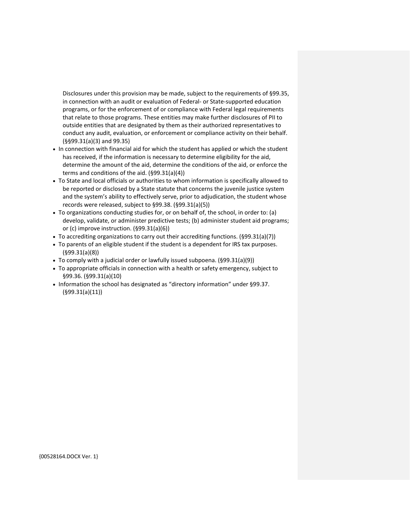Disclosures under this provision may be made, subject to the requirements of §99.35, in connection with an audit or evaluation of Federal- or State-supported education programs, or for the enforcement of or compliance with Federal legal requirements that relate to those programs. These entities may make further disclosures of PII to outside entities that are designated by them as their authorized representatives to conduct any audit, evaluation, or enforcement or compliance activity on their behalf. (§§99.31(a)(3) and 99.35)

- In connection with financial aid for which the student has applied or which the student has received, if the information is necessary to determine eligibility for the aid, determine the amount of the aid, determine the conditions of the aid, or enforce the terms and conditions of the aid. (§99.31(a)(4))
- To State and local officials or authorities to whom information is specifically allowed to be reported or disclosed by a State statute that concerns the juvenile justice system and the system's ability to effectively serve, prior to adjudication, the student whose records were released, subject to §99.38. (§99.31(a)(5))
- To organizations conducting studies for, or on behalf of, the school, in order to: (a) develop, validate, or administer predictive tests; (b) administer student aid programs; or (c) improve instruction. (§99.31(a)(6))
- To accrediting organizations to carry out their accrediting functions. (§99.31(a)(7))
- To parents of an eligible student if the student is a dependent for IRS tax purposes. (§99.31(a)(8))
- To comply with a judicial order or lawfully issued subpoena. (§99.31(a)(9))
- To appropriate officials in connection with a health or safety emergency, subject to §99.36. (§99.31(a)(10)
- Information the school has designated as "directory information" under §99.37. (§99.31(a)(11))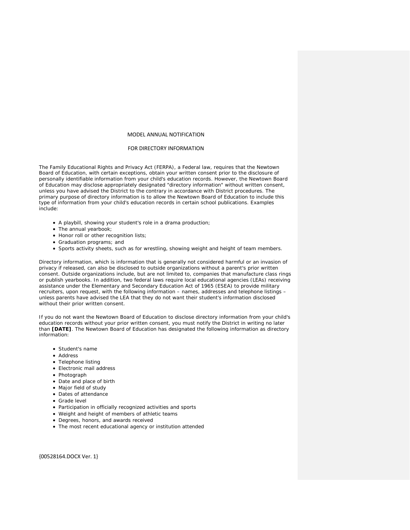## MODEL ANNUAL NOTIFICATION

### FOR DIRECTORY INFORMATION

The *Family Educational Rights and Privacy Act* (FERPA), a Federal law, requires that the Newtown Board of Education, with certain exceptions, obtain your written consent prior to the disclosure of personally identifiable information from your child's education records. However, the Newtown Board of Education may disclose appropriately designated "directory information" without written consent, unless you have advised the District to the contrary in accordance with District procedures. The primary purpose of directory information is to allow the Newtown Board of Education to include this type of information from your child's education records in certain school publications. Examples include:

- A playbill, showing your student's role in a drama production;
- The annual yearbook;
- Honor roll or other recognition lists;
- Graduation programs; and
- Sports activity sheets, such as for wrestling, showing weight and height of team members.

Directory information, which is information that is generally not considered harmful or an invasion of privacy if released, can also be disclosed to outside organizations without a parent's prior written consent. Outside organizations include, but are not limited to, companies that manufacture class rings or publish yearbooks. In addition, two federal laws require local educational agencies (LEAs) receiving assistance under the *Elementary and Secondary Education Act of 1965* (ESEA) to provide military recruiters, upon request, with the following information – names, addresses and telephone listings – unless parents have advised the LEA that they do not want their student's information disclosed without their prior written consent.

If you do not want the Newtown Board of Education to disclose directory information from your child's education records without your prior written consent, you must notify the District in writing no later than **[DATE]**. The Newtown Board of Education has designated the following information as directory information:

- Student's name
- Address
- Telephone listing
- Electronic mail address
- Photograph
- Date and place of birth
- Major field of study
- Dates of attendance
- Grade level
- Participation in officially recognized activities and sports
- Weight and height of members of athletic teams
- Degrees, honors, and awards received
- The most recent educational agency or institution attended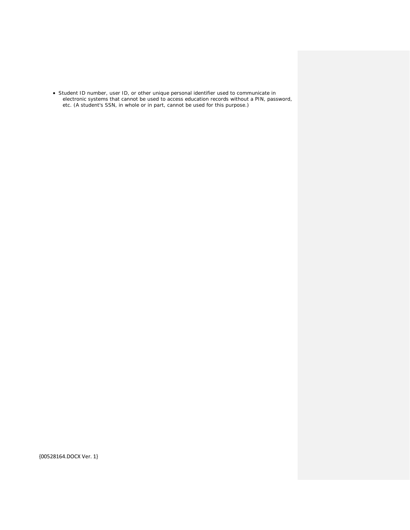• Student ID number, user ID, or other unique personal identifier used to communicate in electronic systems that cannot be used to access education records without a PIN, password, etc. (A student's SSN, in whole or in part, cannot be used for this purpose.)